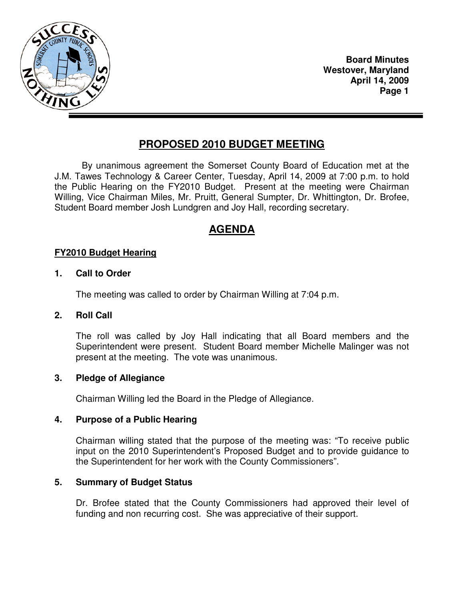

**Board Minutes Westover, Maryland April 14, 2009 Page 1** 

# **PROPOSED 2010 BUDGET MEETING**

 By unanimous agreement the Somerset County Board of Education met at the J.M. Tawes Technology & Career Center, Tuesday, April 14, 2009 at 7:00 p.m. to hold the Public Hearing on the FY2010 Budget. Present at the meeting were Chairman Willing, Vice Chairman Miles, Mr. Pruitt, General Sumpter, Dr. Whittington, Dr. Brofee, Student Board member Josh Lundgren and Joy Hall, recording secretary.

## **AGENDA**

## **FY2010 Budget Hearing**

#### **1. Call to Order**

The meeting was called to order by Chairman Willing at 7:04 p.m.

#### **2. Roll Call**

 The roll was called by Joy Hall indicating that all Board members and the Superintendent were present. Student Board member Michelle Malinger was not present at the meeting. The vote was unanimous.

#### **3. Pledge of Allegiance**

Chairman Willing led the Board in the Pledge of Allegiance.

#### **4. Purpose of a Public Hearing**

 Chairman willing stated that the purpose of the meeting was: "To receive public input on the 2010 Superintendent's Proposed Budget and to provide guidance to the Superintendent for her work with the County Commissioners".

#### **5. Summary of Budget Status**

 Dr. Brofee stated that the County Commissioners had approved their level of funding and non recurring cost. She was appreciative of their support.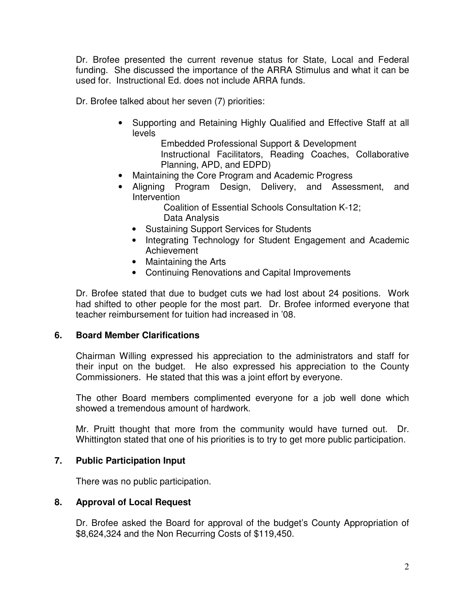Dr. Brofee presented the current revenue status for State, Local and Federal funding. She discussed the importance of the ARRA Stimulus and what it can be used for. Instructional Ed. does not include ARRA funds.

Dr. Brofee talked about her seven (7) priorities:

• Supporting and Retaining Highly Qualified and Effective Staff at all levels

> Embedded Professional Support & Development Instructional Facilitators, Reading Coaches, Collaborative Planning, APD, and EDPD)

- Maintaining the Core Program and Academic Progress
- Aligning Program Design, Delivery, and Assessment, and Intervention

 Coalition of Essential Schools Consultation K-12; Data Analysis

- Sustaining Support Services for Students
- Integrating Technology for Student Engagement and Academic Achievement
- Maintaining the Arts
- Continuing Renovations and Capital Improvements

 Dr. Brofee stated that due to budget cuts we had lost about 24 positions. Work had shifted to other people for the most part. Dr. Brofee informed everyone that teacher reimbursement for tuition had increased in '08.

#### **6. Board Member Clarifications**

 Chairman Willing expressed his appreciation to the administrators and staff for their input on the budget. He also expressed his appreciation to the County Commissioners. He stated that this was a joint effort by everyone.

 The other Board members complimented everyone for a job well done which showed a tremendous amount of hardwork.

 Mr. Pruitt thought that more from the community would have turned out. Dr. Whittington stated that one of his priorities is to try to get more public participation.

## **7. Public Participation Input**

There was no public participation.

## **8. Approval of Local Request**

 Dr. Brofee asked the Board for approval of the budget's County Appropriation of \$8,624,324 and the Non Recurring Costs of \$119,450.